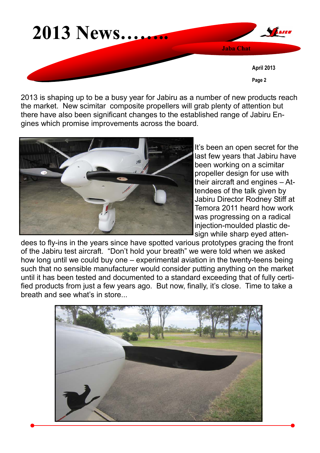

2013 is shaping up to be a busy year for Jabiru as a number of new products reach the market. New scimitar composite propellers will grab plenty of attention but there have also been significant changes to the established range of Jabiru Engines which promise improvements across the board.



It's been an open secret for the last few years that Jabiru have been working on a scimitar propeller design for use with their aircraft and engines – Attendees of the talk given by Jabiru Director Rodney Stiff at Temora 2011 heard how work was progressing on a radical injection-moulded plastic design while sharp eyed atten-

dees to fly-ins in the years since have spotted various prototypes gracing the front of the Jabiru test aircraft. "Don't hold your breath" we were told when we asked how long until we could buy one – experimental aviation in the twenty-teens being such that no sensible manufacturer would consider putting anything on the market until it has been tested and documented to a standard exceeding that of fully certified products from just a few years ago. But now, finally, it's close. Time to take a breath and see what's in store...

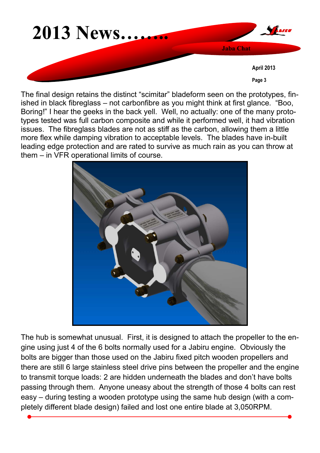

The final design retains the distinct "scimitar" bladeform seen on the prototypes, finished in black fibreglass – not carbonfibre as you might think at first glance. "Boo, Boring!" I hear the geeks in the back yell. Well, no actually: one of the many prototypes tested was full carbon composite and while it performed well, it had vibration issues. The fibreglass blades are not as stiff as the carbon, allowing them a little more flex while damping vibration to acceptable levels. The blades have in-built leading edge protection and are rated to survive as much rain as you can throw at them – in VFR operational limits of course.



The hub is somewhat unusual. First, it is designed to attach the propeller to the engine using just 4 of the 6 bolts normally used for a Jabiru engine. Obviously the bolts are bigger than those used on the Jabiru fixed pitch wooden propellers and there are still 6 large stainless steel drive pins between the propeller and the engine to transmit torque loads: 2 are hidden underneath the blades and don't have bolts passing through them. Anyone uneasy about the strength of those 4 bolts can rest easy – during testing a wooden prototype using the same hub design (with a completely different blade design) failed and lost one entire blade at 3,050RPM.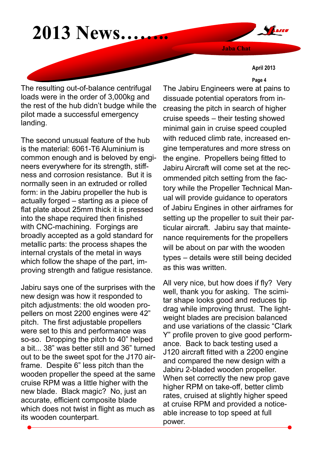**Jaba Chat** 

## **April 2013**

**SALARED** 

## **Page 4**

The resulting out-of-balance centrifugal loads were in the order of 3,000kg and the rest of the hub didn't budge while the pilot made a successful emergency landing.

**2013 News……..** 

The second unusual feature of the hub is the material: 6061-T6 Aluminium is common enough and is beloved by engineers everywhere for its strength, stiffness and corrosion resistance. But it is normally seen in an extruded or rolled form: in the Jabiru propeller the hub is actually forged – starting as a piece of flat plate about 25mm thick it is pressed into the shape required then finished with CNC-machining. Forgings are broadly accepted as a gold standard for metallic parts: the process shapes the internal crystals of the metal in ways which follow the shape of the part, improving strength and fatigue resistance.

Jabiru says one of the surprises with the new design was how it responded to pitch adjustments: the old wooden propellers on most 2200 engines were 42" pitch. The first adjustable propellers were set to this and performance was so-so. Dropping the pitch to 40" helped a bit... 38" was better still and 36" turned out to be the sweet spot for the J170 airframe. Despite 6" less pitch than the wooden propeller the speed at the same cruise RPM was a little higher with the new blade. Black magic? No, just an accurate, efficient composite blade which does not twist in flight as much as its wooden counterpart.

The Jabiru Engineers were at pains to dissuade potential operators from increasing the pitch in search of higher cruise speeds – their testing showed minimal gain in cruise speed coupled with reduced climb rate, increased engine temperatures and more stress on the engine. Propellers being fitted to Jabiru Aircraft will come set at the recommended pitch setting from the factory while the Propeller Technical Manual will provide guidance to operators of Jabiru Engines in other airframes for setting up the propeller to suit their particular aircraft. Jabiru say that maintenance requirements for the propellers will be about on par with the wooden types – details were still being decided as this was written.

All very nice, but how does if fly? Very well, thank you for asking. The scimitar shape looks good and reduces tip drag while improving thrust. The lightweight blades are precision balanced and use variations of the classic "Clark Y" profile proven to give good performance. Back to back testing used a J120 aircraft fitted with a 2200 engine and compared the new design with a Jabiru 2-bladed wooden propeller. When set correctly the new prop gave higher RPM on take-off, better climb rates, cruised at slightly higher speed at cruise RPM and provided a noticeable increase to top speed at full power.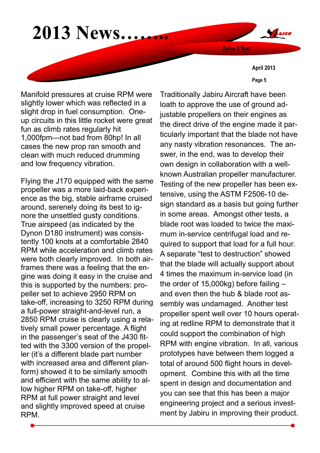**2013 News…….. Jaba Chat** 

> **Page 5 April 2013**

Manifold pressures at cruise RPM were slightly lower which was reflected in a slight drop in fuel consumption. Oneup circuits in this little rocket were great fun as climb rates regularly hit 1,000fpm—not bad from 80hp! In all cases the new prop ran smooth and clean with much reduced drumming and low frequency vibration.

Flying the J170 equipped with the same propeller was a more laid-back experience as the big, stable airframe cruised around, serenely doing its best to ignore the unsettled gusty conditions. True airspeed (as indicated by the Dynon D180 instrument) was consistently 100 knots at a comfortable 2840 RPM while acceleration and climb rates were both clearly improved. In both airframes there was a feeling that the engine was doing it easy in the cruise and this is supported by the numbers: propeller set to achieve 2950 RPM on take-off, increasing to 3250 RPM during a full-power straight-and-level run, a 2850 RPM cruise is clearly using a relatively small power percentage. A flight in the passenger's seat of the J430 fitted with the 3300 version of the propeller (it's a different blade part number with increased area and different planform) showed it to be similarly smooth and efficient with the same ability to allow higher RPM on take-off, higher RPM at full power straight and level and slightly improved speed at cruise RPM.

Traditionally Jabiru Aircraft have been loath to approve the use of ground adjustable propellers on their engines as the direct drive of the engine made it particularly important that the blade not have any nasty vibration resonances. The answer, in the end, was to develop their own design in collaboration with a wellknown Australian propeller manufacturer. Testing of the new propeller has been extensive, using the ASTM F2506-10 design standard as a basis but going further in some areas. Amongst other tests, a blade root was loaded to twice the maximum in-service centrifugal load and required to support that load for a full hour. A separate "test to destruction" showed that the blade will actually support about 4 times the maximum in-service load (in the order of 15,000kg) before failing – and even then the hub & blade root assembly was undamaged. Another test propeller spent well over 10 hours operating at redline RPM to demonstrate that it could support the combination of high RPM with engine vibration. In all, various prototypes have between them logged a total of around 500 flight hours in development. Combine this with all the time spent in design and documentation and you can see that this has been a major engineering project and a serious investment by Jabiru in improving their product.